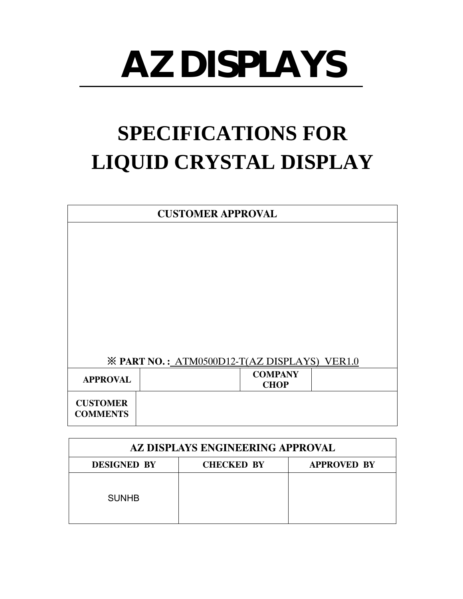# **AZ DISPLAYS**

### **SPECIFICATIONS FOR LIQUID CRYSTAL DISPLAY**

|                                    | <b>CUSTOMER APPROVAL</b>                            |                               |  |  |  |  |
|------------------------------------|-----------------------------------------------------|-------------------------------|--|--|--|--|
|                                    |                                                     |                               |  |  |  |  |
|                                    |                                                     |                               |  |  |  |  |
|                                    |                                                     |                               |  |  |  |  |
|                                    |                                                     |                               |  |  |  |  |
|                                    |                                                     |                               |  |  |  |  |
|                                    |                                                     |                               |  |  |  |  |
|                                    |                                                     |                               |  |  |  |  |
|                                    | <b>※ PART NO.: ATM0500D12-T(AZ DISPLAYS) VER1.0</b> |                               |  |  |  |  |
| <b>APPROVAL</b>                    |                                                     | <b>COMPANY</b><br><b>CHOP</b> |  |  |  |  |
| <b>CUSTOMER</b><br><b>COMMENTS</b> |                                                     |                               |  |  |  |  |

| AZ DISPLAYS ENGINEERING APPROVAL                              |  |  |  |  |  |  |
|---------------------------------------------------------------|--|--|--|--|--|--|
| <b>DESIGNED BY</b><br><b>CHECKED BY</b><br><b>APPROVED BY</b> |  |  |  |  |  |  |
| <b>SUNHB</b>                                                  |  |  |  |  |  |  |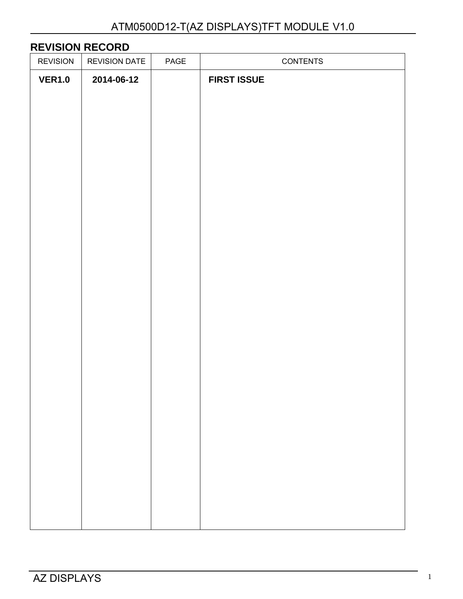# **REVISION RECORD** REVISION REVISION DATE PAGE | CONTENTS **VER1.0 2014-06-12 FIRST ISSUE**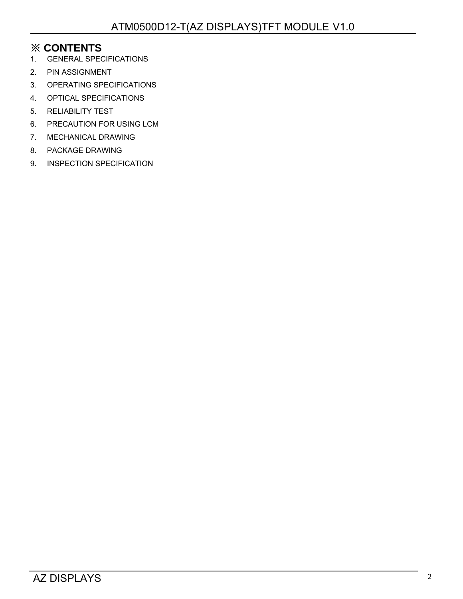#### ※ **CONTENTS**

- 1. GENERAL SPECIFICATIONS
- 2. PIN ASSIGNMENT
- 3. OPERATING SPECIFICATIONS
- 4. OPTICAL SPECIFICATIONS
- 5. RELIABILITY TEST
- 6. PRECAUTION FOR USING LCM
- 7. MECHANICAL DRAWING
- 8. PACKAGE DRAWING
- 9. INSPECTION SPECIFICATION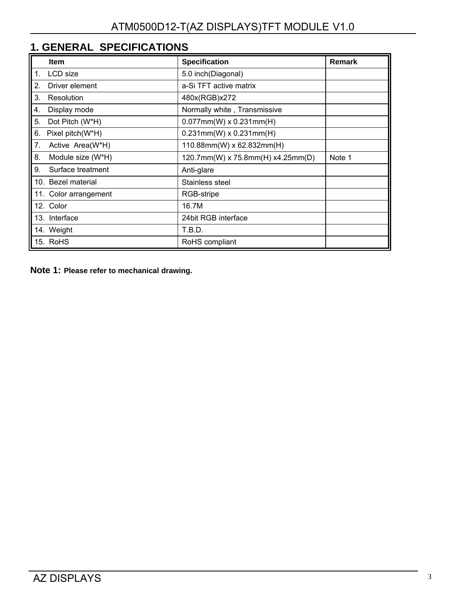#### **1. GENERAL SPECIFICATIONS**

| <b>Item</b>             | <b>Specification</b>              | Remark |
|-------------------------|-----------------------------------|--------|
| $1_{-}$<br>LCD size     | 5.0 inch(Diagonal)                |        |
| 2.<br>Driver element    | a-Si TFT active matrix            |        |
| 3.<br>Resolution        | 480x(RGB)x272                     |        |
| 4.<br>Display mode      | Normally white, Transmissive      |        |
| 5.<br>Dot Pitch (W*H)   | $0.077$ mm(W) x $0.231$ mm(H)     |        |
| 6.<br>Pixel pitch(W*H)  | $0.231$ mm(W) x $0.231$ mm(H)     |        |
| 7.<br>Active Area(W*H)  | 110.88mm(W) x 62.832mm(H)         |        |
| 8.<br>Module size (W*H) | 120.7mm(W) x 75.8mm(H) x4.25mm(D) | Note 1 |
| 9.<br>Surface treatment | Anti-glare                        |        |
| 10. Bezel material      | Stainless steel                   |        |
| 11. Color arrangement   | RGB-stripe                        |        |
| 12. Color               | 16.7M                             |        |
| 13. Interface           | 24 bit RGB interface              |        |
| 14. Weight              | T.B.D.                            |        |
| 15. RoHS                | RoHS compliant                    |        |

**Note 1: Please refer to mechanical drawing.**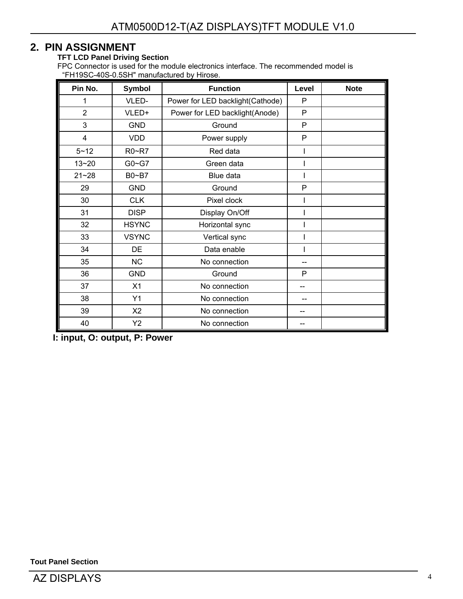#### **2. PIN ASSIGNMENT**

#### **TFT LCD Panel Driving Section**

FPC Connector is used for the module electronics interface. The recommended model is "FH19SC-40S-0.5SH" manufactured by Hirose.

| Pin No.        | <b>Symbol</b>  | <b>Function</b>                  | Level        | <b>Note</b> |
|----------------|----------------|----------------------------------|--------------|-------------|
| 1              | VLED-          | Power for LED backlight(Cathode) | P            |             |
| $\overline{2}$ | VLED+          | Power for LED backlight(Anode)   | $\mathsf{P}$ |             |
| 3              | <b>GND</b>     | Ground                           | P            |             |
| 4              | <b>VDD</b>     | Power supply                     | P            |             |
| $5 - 12$       | R0~R7          | Red data                         |              |             |
| $13 - 20$      | $G0 - G7$      | Green data                       |              |             |
| $21 - 28$      | B0~B7          | Blue data                        |              |             |
| 29             | <b>GND</b>     | Ground                           | $\mathsf{P}$ |             |
| 30             | <b>CLK</b>     | Pixel clock                      |              |             |
| 31             | <b>DISP</b>    | Display On/Off                   |              |             |
| 32             | <b>HSYNC</b>   | Horizontal sync                  |              |             |
| 33             | <b>VSYNC</b>   | Vertical sync                    |              |             |
| 34             | DE             | Data enable                      |              |             |
| 35             | <b>NC</b>      | No connection                    |              |             |
| 36             | <b>GND</b>     | Ground                           | P            |             |
| 37             | X1             | No connection                    | --           |             |
| 38             | Y1             | No connection                    |              |             |
| 39             | X <sub>2</sub> | No connection                    |              |             |
| 40             | Y2             | No connection                    | --           |             |

**I: input, O: output, P: Power**

**Tout Panel Section**

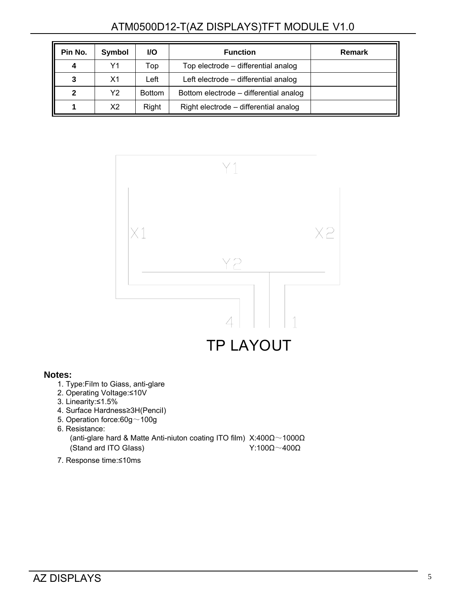#### ATM0500D12-T(AZ DISPLAYS)TFT MODULE V1.0

| Pin No.     | Symbol | VO.    | <b>Function</b>                        | Remark |
|-------------|--------|--------|----------------------------------------|--------|
| 4           | Υ1     | Top    | Top electrode - differential analog    |        |
| 3           | X1     | Left   | Left electrode – differential analog   |        |
| $\mathbf 2$ | Y2.    | Bottom | Bottom electrode - differential analog |        |
|             | X2     | Right  | Right electrode – differential analog  |        |



#### **Notes:**

- 1. Type:FiIm to Giass, anti-glare
- 2. Operating VoItage:≤10V
- 3. Linearity:≤1.5%
- 4. Surface Hardness≥3H(PenciI)
- 5. Operation force:60g~100g
- 6. Resistance:
	- (anti-glare hard & Matte Anti-niuton coating ITO film) X:400Ω~1000Ω (Stand ard ITO Glass) Y:100 $\Omega$   $\sim$  400 $\Omega$
- 7. Response time:≤10ms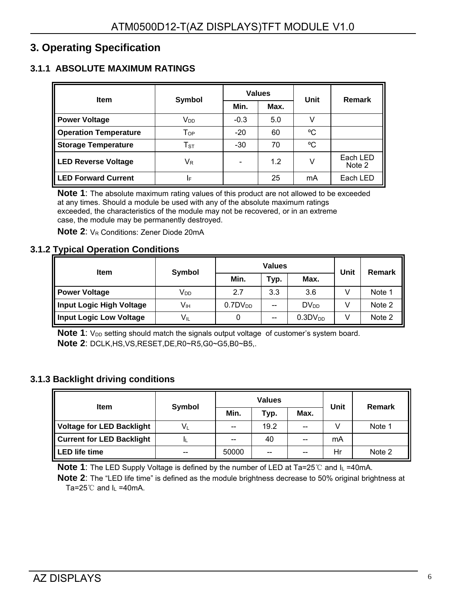#### **3. Operating Specification**

#### **3.1.1 ABSOLUTE MAXIMUM RATINGS**

| <b>Item</b>                  | Symbol                |                          | <b>Values</b> | Unit | Remark             |  |
|------------------------------|-----------------------|--------------------------|---------------|------|--------------------|--|
|                              |                       | Min.                     | Max.          |      |                    |  |
| <b>Power Voltage</b>         | <b>V<sub>DD</sub></b> | $-0.3$                   | 5.0           | v    |                    |  |
| <b>Operation Temperature</b> | Top                   | $-20$                    | 60            | °C   |                    |  |
| <b>Storage Temperature</b>   | $T_{ST}$              | $-30$                    | 70            | °C   |                    |  |
| <b>LED Reverse Voltage</b>   | Vr                    | $\overline{\phantom{0}}$ | 1.2           | v    | Each LED<br>Note 2 |  |
| <b>LED Forward Current</b>   | ΙF                    |                          | 25            | mA   | Each LED           |  |

**Note 1**: The absolute maximum rating values of this product are not allowed to be exceeded at any times. Should a module be used with any of the absolute maximum ratings exceeded, the characteristics of the module may not be recovered, or in an extreme case, the module may be permanently destroyed.

**Note 2:** V<sub>R</sub> Conditions: Zener Diode 20mA

#### **3.1.2 Typical Operation Conditions**

| Item                            | <b>Symbol</b>   |              | <b>Values</b>                | Unit      | <b>Remark</b> |        |
|---------------------------------|-----------------|--------------|------------------------------|-----------|---------------|--------|
|                                 |                 | Min.         | Typ.                         | Max.      |               |        |
| <b>Power Voltage</b>            | V <sub>DD</sub> | 2.7          | 3.3                          | 3.6       |               | Note 1 |
| <b>Input Logic High Voltage</b> | Vıн             | $0.7DV_{DD}$ | $- -$                        | $DV_{DD}$ |               | Note 2 |
| <b>Input Logic Low Voltage</b>  | VĩL             |              | 0.3DV <sub>DD</sub><br>$- -$ |           |               | Note 2 |

**Note 1**: V<sub>DD</sub> setting should match the signals output voltage of customer's system board. **Note 2**: DCLK,HS,VS,RESET,DE,R0~R5,G0~G5,B0~B5,.

#### **3.1.3 Backlight driving conditions**

| <b>Item</b>                      | Symbol |       | <b>Values</b> | Unit | <b>Remark</b> |        |
|----------------------------------|--------|-------|---------------|------|---------------|--------|
|                                  |        | Min.  | Typ.          | Max. |               |        |
| <b>Voltage for LED Backlight</b> | Vı     |       | 19.2          | $-$  |               | Note 1 |
| <b>Current for LED Backlight</b> |        | --    | 40            | --   | mA            |        |
| <b>LED life time</b>             | $- -$  | 50000 | --            | $-$  | Hr            | Note 2 |

**Note 1**: The LED Supply Voltage is defined by the number of LED at Ta=25℃ and I<sub>L</sub> =40mA.

**Note 2**: The "LED life time" is defined as the module brightness decrease to 50% original brightness at Ta=25 $^{\circ}$ C and I<sub>L</sub> =40mA.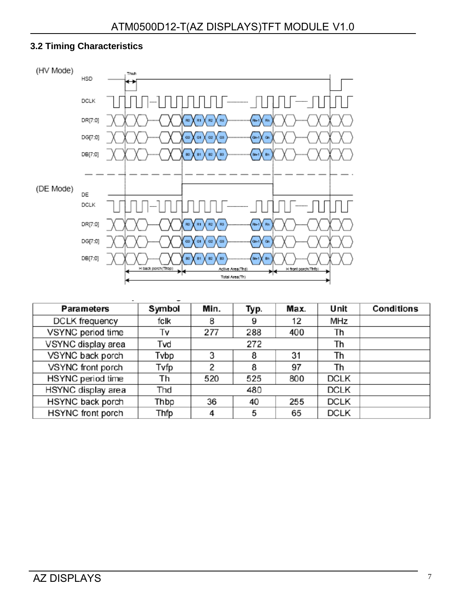#### **3.2 Timing Characteristics**



| <b>Parameters</b>  | Symbol | Min. | Typ. | Max. | Unit        | Conditions |
|--------------------|--------|------|------|------|-------------|------------|
| DCLK frequency     | fclk   | 8    | 9    | 12   | MHz         |            |
| VSYNC period time  | Tv     | 277  | 288  | 400  | Th          |            |
| VSYNC display area | Tvd    |      | 272  |      | Th          |            |
| VSYNC back porch   | Tvbp   | З    | 8    | 31   | Th          |            |
| VSYNC front porch  | Tvfp   | 2    | 8    | 97   | Th          |            |
| HSYNC period time  | Th     | 520  | 525  | 800  | <b>DCLK</b> |            |
| HSYNC display area | Thd    |      | 480  |      | <b>DCLK</b> |            |
| HSYNC back porch   | Thbp   | 36   | 40   | 255  | <b>DCLK</b> |            |
| HSYNC front porch  | Thfp   | 4    | 5    | 65   | <b>DCLK</b> |            |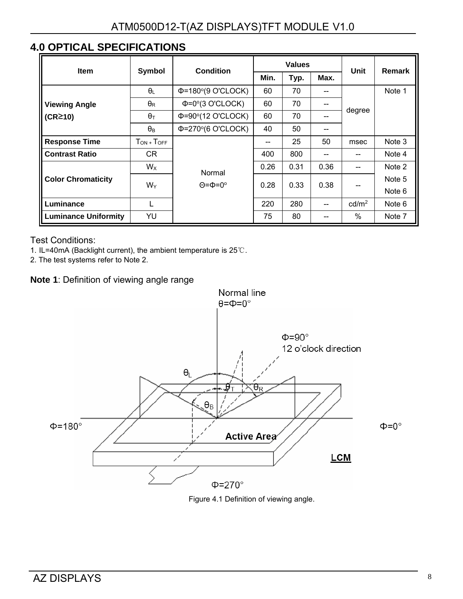#### **4.0 OPTICAL SPECIFICATIONS**

| <b>Item</b>                 | <b>Symbol</b>         | <b>Condition</b>                  |      | <b>Values</b> |      | Unit              | <b>Remark</b> |
|-----------------------------|-----------------------|-----------------------------------|------|---------------|------|-------------------|---------------|
|                             |                       |                                   | Min. | Typ.          | Max. |                   |               |
|                             | $\theta_L$            | $\Phi$ =180 $\degree$ (9 O'CLOCK) | 60   | 70            | --   |                   | Note 1        |
| <b>Viewing Angle</b>        | $\theta_{\mathsf{R}}$ | $\Phi$ =0 $\degree$ (3 O'CLOCK)   | 60   | 70            |      | degree            |               |
| $(CR \geq 10)$              | $\theta$ T            | $\Phi$ =90 $\degree$ (12 O'CLOCK) | 60   | 70            |      |                   |               |
|                             | $\theta_{\rm B}$      | $\Phi$ =270 $\degree$ (6 O'CLOCK) | 40   | 50            | --   |                   |               |
| <b>Response Time</b>        | $T_{ON}$ + $T_{OFF}$  |                                   | --   | 25            | 50   | msec              | Note 3        |
| <b>Contrast Ratio</b>       | CR                    |                                   | 400  | 800           | --   |                   | Note 4        |
|                             | $W_{X}$               | Normal                            | 0.26 | 0.31          | 0.36 |                   | Note 2        |
| <b>Color Chromaticity</b>   | $W_Y$                 | $\Theta = \Phi = 0^\circ$         | 0.28 | 0.33          | 0.38 |                   | Note 5        |
|                             |                       |                                   |      |               |      |                   | Note 6        |
| Luminance                   |                       |                                   | 220  | 280           | --   | cd/m <sup>2</sup> | Note 6        |
| <b>Luminance Uniformity</b> | YU                    |                                   | 75   | 80            |      | $\%$              | Note 7        |

Test Conditions:

1. IL=40mA (Backlight current), the ambient temperature is 25℃.

2. The test systems refer to Note 2.

**Note 1**: Definition of viewing angle range



Figure 4.1 Definition of viewing angle.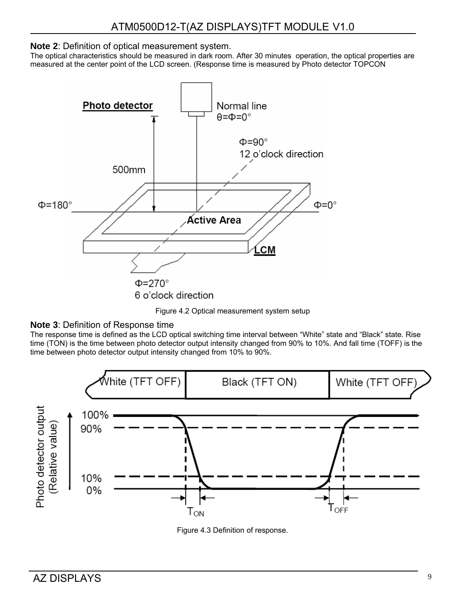**Note 2**: Definition of optical measurement system.

The optical characteristics should be measured in dark room. After 30 minutes operation, the optical properties are measured at the center point of the LCD screen. (Response time is measured by Photo detector TOPCON



Figure 4.2 Optical measurement system setup

#### **Note 3**: Definition of Response time

The response time is defined as the LCD optical switching time interval between "White" state and "Black" state. Rise time (TON) is the time between photo detector output intensity changed from 90% to 10%. And fall time (TOFF) is the time between photo detector output intensity changed from 10% to 90%.



Figure 4.3 Definition of response.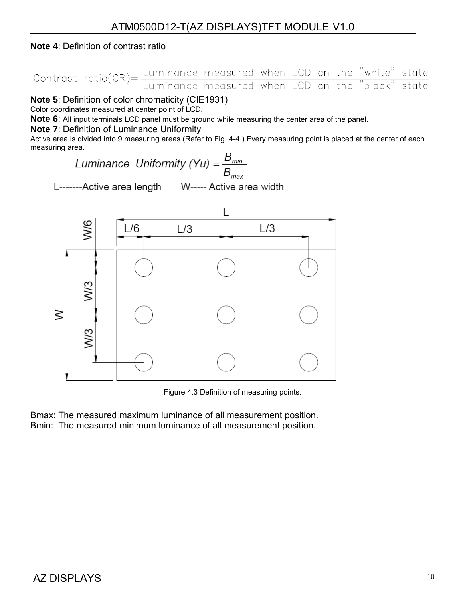#### **Note 4**: Definition of contrast ratio

Contrast ratio( $CR$ ) =  $\frac{Luminance}{Luminance}$  measured when LCD on the "white" state  $C$  contrast ratio( $CR$ ) =  $\frac{Luminance}{Luminance}$  measured when LCD on the "black" state

**Note 5**: Definition of color chromaticity (CIE1931)

Color coordinates measured at center point of LCD.

**Note 6:** All input terminals LCD panel must be ground while measuring the center area of the panel.

**Note 7**: Definition of Luminance Uniformity

Active area is divided into 9 measuring areas (Refer to Fig. 4-4 ).Every measuring point is placed at the center of each

## measuring area.<br>Luminance Uniformity (Yu) =  $\frac{B_{min}}{B_{max}}$

L-------Active area length

W----- Active area width



Figure 4.3 Definition of measuring points.

Bmax: The measured maximum luminance of all measurement position. Bmin: The measured minimum luminance of all measurement position.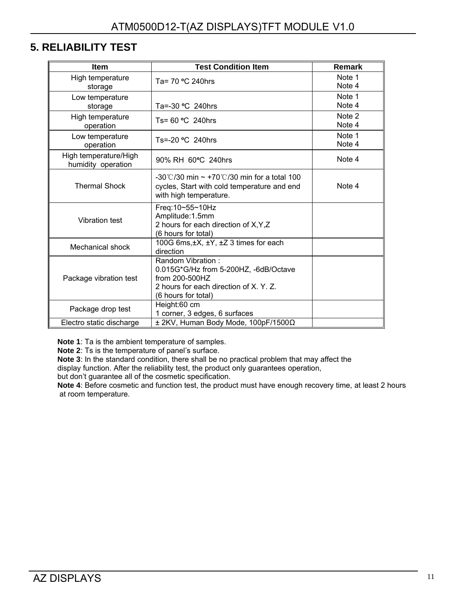#### **5. RELIABILITY TEST**

| Item                                        | <b>Test Condition Item</b>                                                                                                                    | <b>Remark</b>    |
|---------------------------------------------|-----------------------------------------------------------------------------------------------------------------------------------------------|------------------|
| High temperature<br>storage                 | Ta= 70 °C 240hrs                                                                                                                              | Note 1<br>Note 4 |
| Low temperature<br>storage                  | Ta=-30 °C 240hrs                                                                                                                              | Note 1<br>Note 4 |
| High temperature<br>operation               | Ts= 60 °C 240hrs                                                                                                                              | Note 2<br>Note 4 |
| Low temperature<br>operation                | $Ts = -20$ °C 240hrs                                                                                                                          | Note 1<br>Note 4 |
| High temperature/High<br>humidity operation | 90% RH 60°C 240hrs                                                                                                                            | Note 4           |
| <b>Thermal Shock</b>                        | $-30^{\circ}$ / 30 min ~ +70 $\circ$ / 30 min for a total 100<br>cycles, Start with cold temperature and end<br>with high temperature.        | Note 4           |
| Vibration test                              | Freq:10~55~10Hz<br>Amplitude:1.5mm<br>2 hours for each direction of X, Y, Z<br>(6 hours for total)                                            |                  |
| Mechanical shock                            | 100G 6ms, ±X, ±Y, ±Z 3 times for each<br>direction                                                                                            |                  |
| Package vibration test                      | Random Vibration:<br>0.015G*G/Hz from 5-200HZ, -6dB/Octave<br>from 200-500HZ<br>2 hours for each direction of X. Y. Z.<br>(6 hours for total) |                  |
| Package drop test                           | Height:60 cm<br>1 corner, 3 edges, 6 surfaces                                                                                                 |                  |
| Electro static discharge                    | ± 2KV, Human Body Mode, 100pF/1500Ω                                                                                                           |                  |

**Note 1**: Ta is the ambient temperature of samples.

**Note 2**: Ts is the temperature of panel's surface.

**Note 3**: In the standard condition, there shall be no practical problem that may affect the

display function. After the reliability test, the product only guarantees operation,

but don't guarantee all of the cosmetic specification.

**Note 4**: Before cosmetic and function test, the product must have enough recovery time, at least 2 hours at room temperature.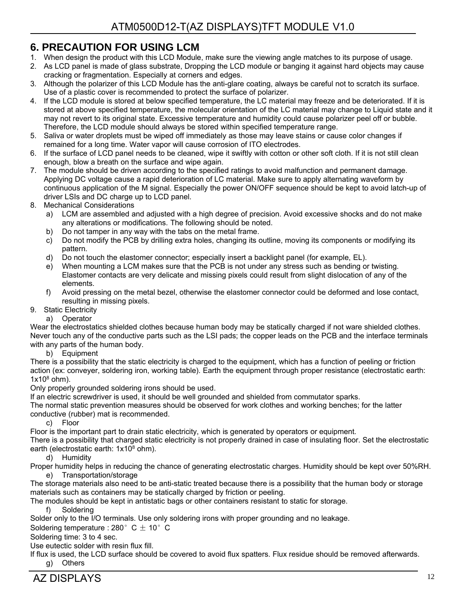#### **6. PRECAUTION FOR USING LCM**

- 1. When design the product with this LCD Module, make sure the viewing angle matches to its purpose of usage.
- 2. As LCD panel is made of glass substrate, Dropping the LCD module or banging it against hard objects may cause cracking or fragmentation. Especially at corners and edges.
- 3. Although the polarizer of this LCD Module has the anti-glare coating, always be careful not to scratch its surface. Use of a plastic cover is recommended to protect the surface of polarizer.
- 4. If the LCD module is stored at below specified temperature, the LC material may freeze and be deteriorated. If it is stored at above specified temperature, the molecular orientation of the LC material may change to Liquid state and it may not revert to its original state. Excessive temperature and humidity could cause polarizer peel off or bubble. Therefore, the LCD module should always be stored within specified temperature range.
- 5. Saliva or water droplets must be wiped off immediately as those may leave stains or cause color changes if remained for a long time. Water vapor will cause corrosion of ITO electrodes.
- 6. If the surface of LCD panel needs to be cleaned, wipe it swiftly with cotton or other soft cloth. If it is not still clean enough, blow a breath on the surface and wipe again.
- 7. The module should be driven according to the specified ratings to avoid malfunction and permanent damage. Applying DC voltage cause a rapid deterioration of LC material. Make sure to apply alternating waveform by continuous application of the M signal. Especially the power ON/OFF sequence should be kept to avoid latch-up of driver LSIs and DC charge up to LCD panel.
- 8. Mechanical Considerations
	- a) LCM are assembled and adjusted with a high degree of precision. Avoid excessive shocks and do not make any alterations or modifications. The following should be noted.
	- b) Do not tamper in any way with the tabs on the metal frame.
	- c) Do not modify the PCB by drilling extra holes, changing its outline, moving its components or modifying its pattern.
	- d) Do not touch the elastomer connector; especially insert a backlight panel (for example, EL).
	- e) When mounting a LCM makes sure that the PCB is not under any stress such as bending or twisting. Elastomer contacts are very delicate and missing pixels could result from slight dislocation of any of the elements.
	- f) Avoid pressing on the metal bezel, otherwise the elastomer connector could be deformed and lose contact, resulting in missing pixels.
- 9. Static Electricity
	- a) Operator

Wear the electrostatics shielded clothes because human body may be statically charged if not ware shielded clothes. Never touch any of the conductive parts such as the LSI pads; the copper leads on the PCB and the interface terminals with any parts of the human body.

b) Equipment

There is a possibility that the static electricity is charged to the equipment, which has a function of peeling or friction action (ex: conveyer, soldering iron, working table). Earth the equipment through proper resistance (electrostatic earth:  $1x10<sup>8</sup>$  ohm).

Only properly grounded soldering irons should be used.

If an electric screwdriver is used, it should be well grounded and shielded from commutator sparks.

The normal static prevention measures should be observed for work clothes and working benches; for the latter conductive (rubber) mat is recommended.

c) Floor

Floor is the important part to drain static electricity, which is generated by operators or equipment.

There is a possibility that charged static electricity is not properly drained in case of insulating floor. Set the electrostatic earth (electrostatic earth:  $1x10<sup>8</sup>$  ohm).

d) Humidity

Proper humidity helps in reducing the chance of generating electrostatic charges. Humidity should be kept over 50%RH. e) Transportation/storage

The storage materials also need to be anti-static treated because there is a possibility that the human body or storage materials such as containers may be statically charged by friction or peeling.

The modules should be kept in antistatic bags or other containers resistant to static for storage.

f) Soldering

Solder only to the I/O terminals. Use only soldering irons with proper grounding and no leakage.

Soldering temperature : 280 $^{\circ}$  C  $\pm$  10 $^{\circ}$  C

Soldering time: 3 to 4 sec.

Use eutectic solder with resin flux fill.

If flux is used, the LCD surface should be covered to avoid flux spatters. Flux residue should be removed afterwards.

g) Others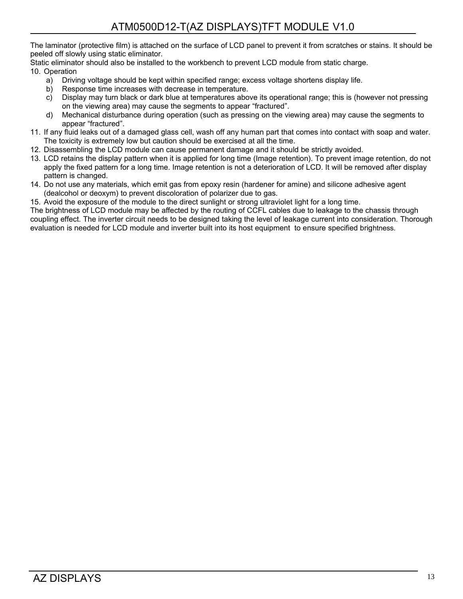The laminator (protective film) is attached on the surface of LCD panel to prevent it from scratches or stains. It should be peeled off slowly using static eliminator.

Static eliminator should also be installed to the workbench to prevent LCD module from static charge. 10. Operation

- a) Driving voltage should be kept within specified range; excess voltage shortens display life.
- b) Response time increases with decrease in temperature.
- c) Display may turn black or dark blue at temperatures above its operational range; this is (however not pressing on the viewing area) may cause the segments to appear "fractured".
- d) Mechanical disturbance during operation (such as pressing on the viewing area) may cause the segments to appear "fractured".
- 11. If any fluid leaks out of a damaged glass cell, wash off any human part that comes into contact with soap and water. The toxicity is extremely low but caution should be exercised at all the time.
- 12. Disassembling the LCD module can cause permanent damage and it should be strictly avoided.
- 13. LCD retains the display pattern when it is applied for long time (Image retention). To prevent image retention, do not apply the fixed pattern for a long time. Image retention is not a deterioration of LCD. It will be removed after display pattern is changed.
- 14. Do not use any materials, which emit gas from epoxy resin (hardener for amine) and silicone adhesive agent (dealcohol or deoxym) to prevent discoloration of polarizer due to gas.
- 15. Avoid the exposure of the module to the direct sunlight or strong ultraviolet light for a long time.

The brightness of LCD module may be affected by the routing of CCFL cables due to leakage to the chassis through coupling effect. The inverter circuit needs to be designed taking the level of leakage current into consideration. Thorough evaluation is needed for LCD module and inverter built into its host equipment to ensure specified brightness.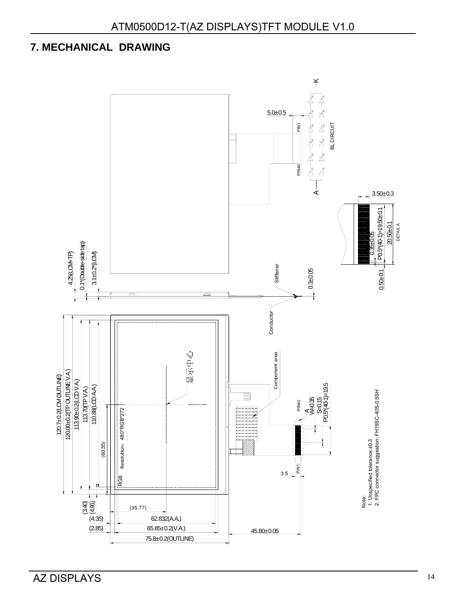#### **7. MECHANICAL DRAWING**